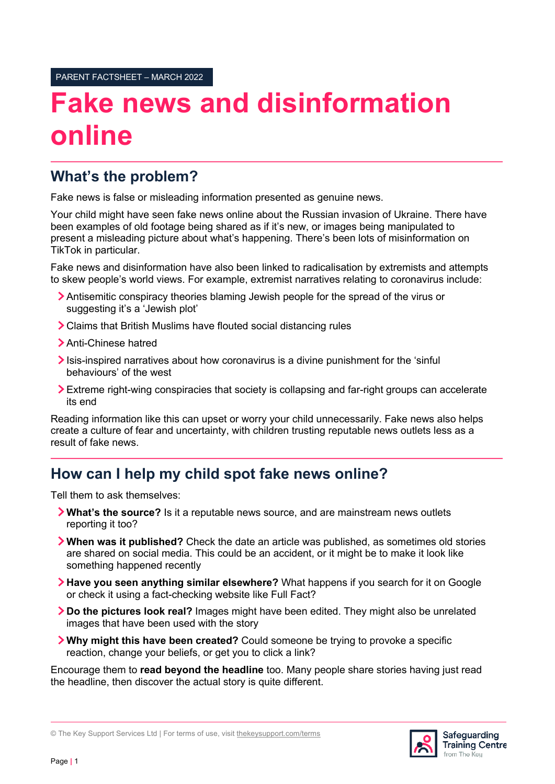# **Fake news and disinformation online**

### **What's the problem?**

Fake news is false or misleading information presented as genuine news.

Your child might have seen fake news online about the Russian invasion of Ukraine. There have been examples of old footage being shared as if it's new, or images being manipulated to present a misleading picture about what's happening. There's been lots of misinformation on TikTok in particular.

Fake news and disinformation have also been linked to radicalisation by extremists and attempts to skew people's world views. For example, extremist narratives relating to coronavirus include:

- Antisemitic conspiracy theories blaming Jewish people for the spread of the virus or suggesting it's a 'Jewish plot'
- Claims that British Muslims have flouted social distancing rules
- > Anti-Chinese hatred
- $\sum$  Isis-inspired narratives about how coronavirus is a divine punishment for the 'sinful behaviours' of the west
- Extreme right-wing conspiracies that society is collapsing and far-right groups can accelerate its end

Reading information like this can upset or worry your child unnecessarily. Fake news also helps create a culture of fear and uncertainty, with children trusting reputable news outlets less as a result of fake news.

#### **How can I help my child spot fake news online?**

Tell them to ask themselves:

- **What's the source?** Is it a reputable news source, and are mainstream news outlets reporting it too?
- **When was it published?** Check the date an article was published, as sometimes old stories are shared on social media. This could be an accident, or it might be to make it look like something happened recently
- **Have you seen anything similar elsewhere?** What happens if you search for it on Google or check it using a fact-checking website like Full Fact?
- **Do the pictures look real?** Images might have been edited. They might also be unrelated images that have been used with the story
- **Why might this have been created?** Could someone be trying to provoke a specific reaction, change your beliefs, or get you to click a link?

Encourage them to **read beyond the headline** too. Many people share stories having just read the headline, then discover the actual story is quite different.

© The Key Support Services Ltd | For terms of use, visit thekeysupport.com/terms